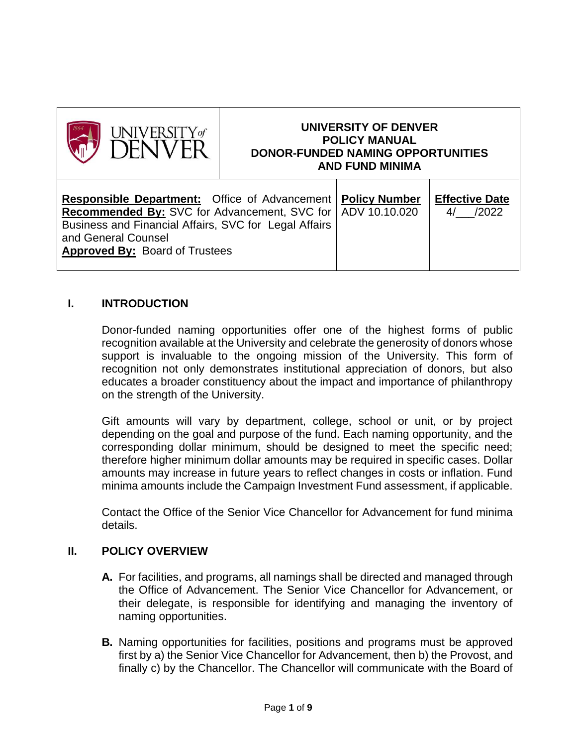

# **UNIVERSITY OF DENVER POLICY MANUAL DONOR-FUNDED NAMING OPPORTUNITIES AND FUND MINIMA**

| <b>Responsible Department:</b> Office of Advancement   Policy Number<br><b>Recommended By:</b> SVC for Advancement, SVC for   ADV 10.10.020<br>Business and Financial Affairs, SVC for Legal Affairs<br>and General Counsel<br><b>Approved By: Board of Trustees</b> |  | <b>Effective Date</b><br>/2022<br>$\Delta/$ |
|----------------------------------------------------------------------------------------------------------------------------------------------------------------------------------------------------------------------------------------------------------------------|--|---------------------------------------------|
|----------------------------------------------------------------------------------------------------------------------------------------------------------------------------------------------------------------------------------------------------------------------|--|---------------------------------------------|

## **I. INTRODUCTION**

Donor-funded naming opportunities offer one of the highest forms of public recognition available at the University and celebrate the generosity of donors whose support is invaluable to the ongoing mission of the University. This form of recognition not only demonstrates institutional appreciation of donors, but also educates a broader constituency about the impact and importance of philanthropy on the strength of the University.

Gift amounts will vary by department, college, school or unit, or by project depending on the goal and purpose of the fund. Each naming opportunity, and the corresponding dollar minimum, should be designed to meet the specific need; therefore higher minimum dollar amounts may be required in specific cases. Dollar amounts may increase in future years to reflect changes in costs or inflation. Fund minima amounts include the Campaign Investment Fund assessment, if applicable.

Contact the Office of the Senior Vice Chancellor for Advancement for fund minima details.

## **II. POLICY OVERVIEW**

- **A.** For facilities, and programs, all namings shall be directed and managed through the Office of Advancement. The Senior Vice Chancellor for Advancement, or their delegate, is responsible for identifying and managing the inventory of naming opportunities.
- **B.** Naming opportunities for facilities, positions and programs must be approved first by a) the Senior Vice Chancellor for Advancement, then b) the Provost, and finally c) by the Chancellor. The Chancellor will communicate with the Board of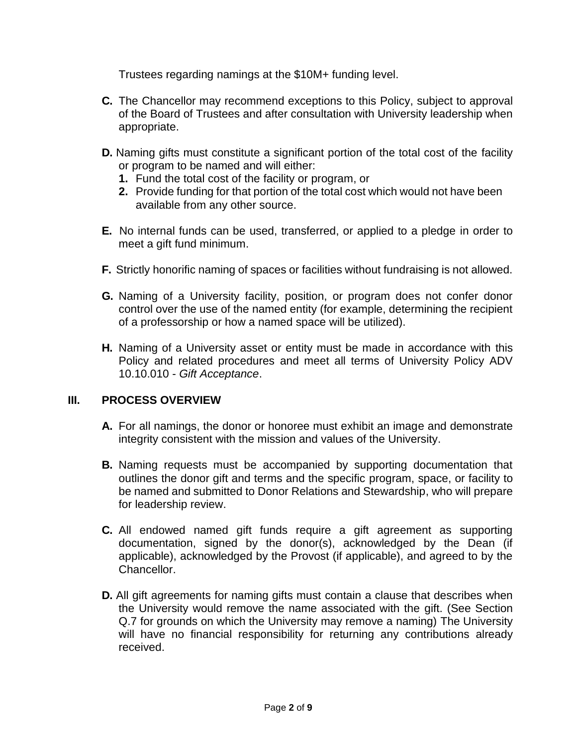Trustees regarding namings at the \$10M+ funding level.

- **C.** The Chancellor may recommend exceptions to this Policy, subject to approval of the Board of Trustees and after consultation with University leadership when appropriate.
- **D.** Naming gifts must constitute a significant portion of the total cost of the facility or program to be named and will either:
	- **1.** Fund the total cost of the facility or program, or
	- **2.** Provide funding for that portion of the total cost which would not have been available from any other source.
- **E.** No internal funds can be used, transferred, or applied to a pledge in order to meet a gift fund minimum.
- **F.** Strictly honorific naming of spaces or facilities without fundraising is not allowed.
- **G.** Naming of a University facility, position, or program does not confer donor control over the use of the named entity (for example, determining the recipient of a professorship or how a named space will be utilized).
- **H.** Naming of a University asset or entity must be made in accordance with this Policy and related procedures and meet all terms of University Policy ADV 10.10.010 - *Gift Acceptance*.

## **III. PROCESS OVERVIEW**

- **A.** For all namings, the donor or honoree must exhibit an image and demonstrate integrity consistent with the mission and values of the University.
- **B.** Naming requests must be accompanied by supporting documentation that outlines the donor gift and terms and the specific program, space, or facility to be named and submitted to Donor Relations and Stewardship, who will prepare for leadership review.
- **C.** All endowed named gift funds require a gift agreement as supporting documentation, signed by the donor(s), acknowledged by the Dean (if applicable), acknowledged by the Provost (if applicable), and agreed to by the Chancellor.
- **D.** All gift agreements for naming gifts must contain a clause that describes when the University would remove the name associated with the gift. (See Section Q.7 for grounds on which the University may remove a naming) The University will have no financial responsibility for returning any contributions already received.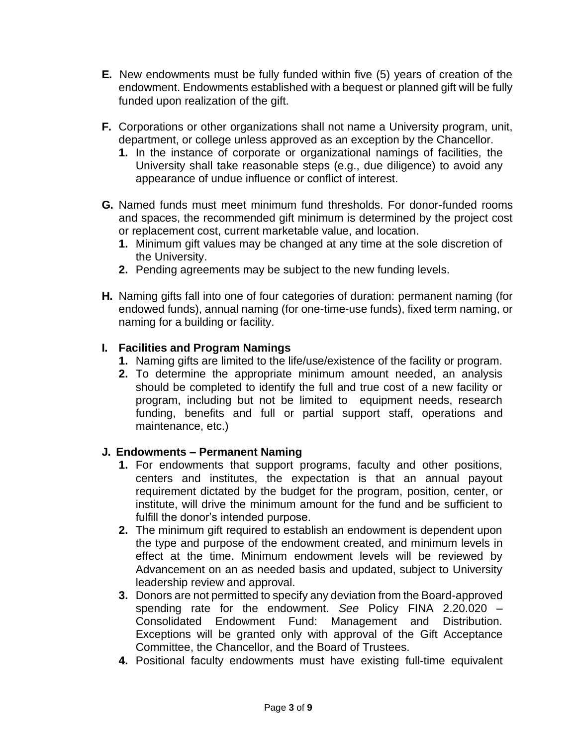- **E.** New endowments must be fully funded within five (5) years of creation of the endowment. Endowments established with a bequest or planned gift will be fully funded upon realization of the gift.
- **F.** Corporations or other organizations shall not name a University program, unit, department, or college unless approved as an exception by the Chancellor.
	- **1.** In the instance of corporate or organizational namings of facilities, the University shall take reasonable steps (e.g., due diligence) to avoid any appearance of undue influence or conflict of interest.
- **G.** Named funds must meet minimum fund thresholds. For donor-funded rooms and spaces, the recommended gift minimum is determined by the project cost or replacement cost, current marketable value, and location.
	- **1.** Minimum gift values may be changed at any time at the sole discretion of the University.
	- **2.** Pending agreements may be subject to the new funding levels.
- **H.** Naming gifts fall into one of four categories of duration: permanent naming (for endowed funds), annual naming (for one-time-use funds), fixed term naming, or naming for a building or facility.

## **I. Facilities and Program Namings**

- **1.** Naming gifts are limited to the life/use/existence of the facility or program.
- **2.** To determine the appropriate minimum amount needed, an analysis should be completed to identify the full and true cost of a new facility or program, including but not be limited to equipment needs, research funding, benefits and full or partial support staff, operations and maintenance, etc.)

## **J. Endowments – Permanent Naming**

- **1.** For endowments that support programs, faculty and other positions, centers and institutes, the expectation is that an annual payout requirement dictated by the budget for the program, position, center, or institute, will drive the minimum amount for the fund and be sufficient to fulfill the donor's intended purpose.
- **2.** The minimum gift required to establish an endowment is dependent upon the type and purpose of the endowment created, and minimum levels in effect at the time. Minimum endowment levels will be reviewed by Advancement on an as needed basis and updated, subject to University leadership review and approval.
- **3.** Donors are not permitted to specify any deviation from the Board-approved spending rate for the endowment. *See* Policy FINA 2.20.020 – Consolidated Endowment Fund: Management and Distribution. Exceptions will be granted only with approval of the Gift Acceptance Committee, the Chancellor, and the Board of Trustees.
- **4.** Positional faculty endowments must have existing full-time equivalent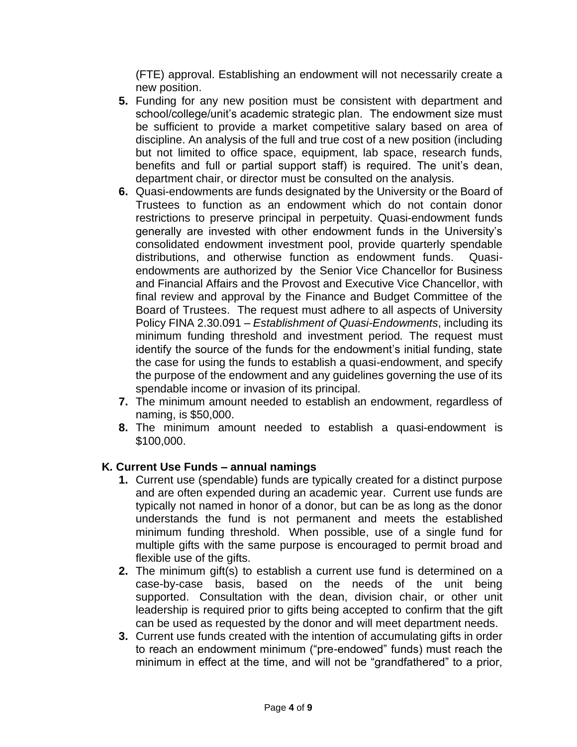(FTE) approval. Establishing an endowment will not necessarily create a new position.

- **5.** Funding for any new position must be consistent with department and school/college/unit's academic strategic plan. The endowment size must be sufficient to provide a market competitive salary based on area of discipline. An analysis of the full and true cost of a new position (including but not limited to office space, equipment, lab space, research funds, benefits and full or partial support staff) is required. The unit's dean, department chair, or director must be consulted on the analysis.
- **6.** Quasi-endowments are funds designated by the University or the Board of Trustees to function as an endowment which do not contain donor restrictions to preserve principal in perpetuity. Quasi-endowment funds generally are invested with other endowment funds in the University's consolidated endowment investment pool, provide quarterly spendable distributions, and otherwise function as endowment funds. Quasiendowments are authorized by the Senior Vice Chancellor for Business and Financial Affairs and the Provost and Executive Vice Chancellor, with final review and approval by the Finance and Budget Committee of the Board of Trustees. The request must adhere to all aspects of University Policy FINA 2.30.091 – *Establishment of Quasi-Endowments*, including its minimum funding threshold and investment period*.* The request must identify the source of the funds for the endowment's initial funding, state the case for using the funds to establish a quasi-endowment, and specify the purpose of the endowment and any guidelines governing the use of its spendable income or invasion of its principal.
- **7.** The minimum amount needed to establish an endowment, regardless of naming, is \$50,000.
- **8.** The minimum amount needed to establish a quasi-endowment is \$100,000.

## **K. Current Use Funds – annual namings**

- **1.** Current use (spendable) funds are typically created for a distinct purpose and are often expended during an academic year. Current use funds are typically not named in honor of a donor, but can be as long as the donor understands the fund is not permanent and meets the established minimum funding threshold. When possible, use of a single fund for multiple gifts with the same purpose is encouraged to permit broad and flexible use of the gifts.
- **2.** The minimum gift(s) to establish a current use fund is determined on a case-by-case basis, based on the needs of the unit being supported. Consultation with the dean, division chair, or other unit leadership is required prior to gifts being accepted to confirm that the gift can be used as requested by the donor and will meet department needs.
- **3.** Current use funds created with the intention of accumulating gifts in order to reach an endowment minimum ("pre-endowed" funds) must reach the minimum in effect at the time, and will not be "grandfathered" to a prior,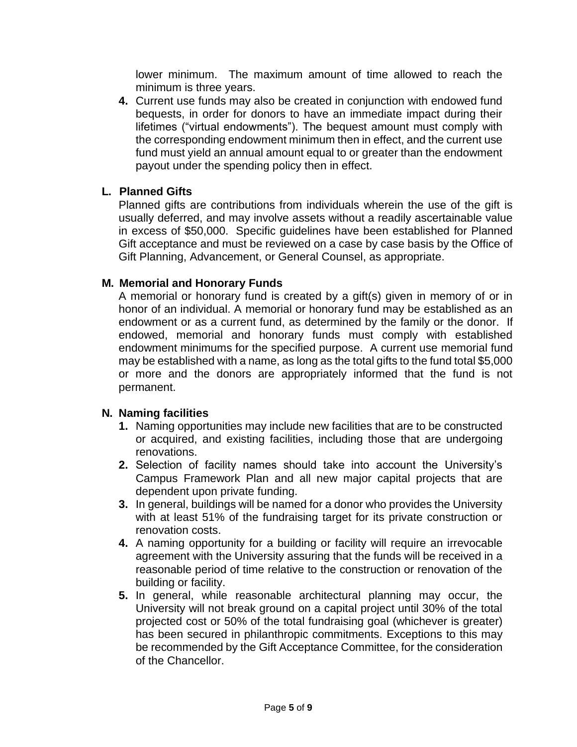lower minimum. The maximum amount of time allowed to reach the minimum is three years.

**4.** Current use funds may also be created in conjunction with endowed fund bequests, in order for donors to have an immediate impact during their lifetimes ("virtual endowments"). The bequest amount must comply with the corresponding endowment minimum then in effect, and the current use fund must yield an annual amount equal to or greater than the endowment payout under the spending policy then in effect.

## **L. Planned Gifts**

Planned gifts are contributions from individuals wherein the use of the gift is usually deferred, and may involve assets without a readily ascertainable value in excess of \$50,000. Specific guidelines have been established for Planned Gift acceptance and must be reviewed on a case by case basis by the Office of Gift Planning, Advancement, or General Counsel, as appropriate.

## **M. Memorial and Honorary Funds**

A memorial or honorary fund is created by a gift(s) given in memory of or in honor of an individual. A memorial or honorary fund may be established as an endowment or as a current fund, as determined by the family or the donor. If endowed, memorial and honorary funds must comply with established endowment minimums for the specified purpose. A current use memorial fund may be established with a name, as long as the total gifts to the fund total \$5,000 or more and the donors are appropriately informed that the fund is not permanent.

## **N. Naming facilities**

- **1.** Naming opportunities may include new facilities that are to be constructed or acquired, and existing facilities, including those that are undergoing renovations.
- **2.** Selection of facility names should take into account the University's Campus Framework Plan and all new major capital projects that are dependent upon private funding.
- **3.** In general, buildings will be named for a donor who provides the University with at least 51% of the fundraising target for its private construction or renovation costs.
- **4.** A naming opportunity for a building or facility will require an irrevocable agreement with the University assuring that the funds will be received in a reasonable period of time relative to the construction or renovation of the building or facility.
- **5.** In general, while reasonable architectural planning may occur, the University will not break ground on a capital project until 30% of the total projected cost or 50% of the total fundraising goal (whichever is greater) has been secured in philanthropic commitments. Exceptions to this may be recommended by the Gift Acceptance Committee, for the consideration of the Chancellor.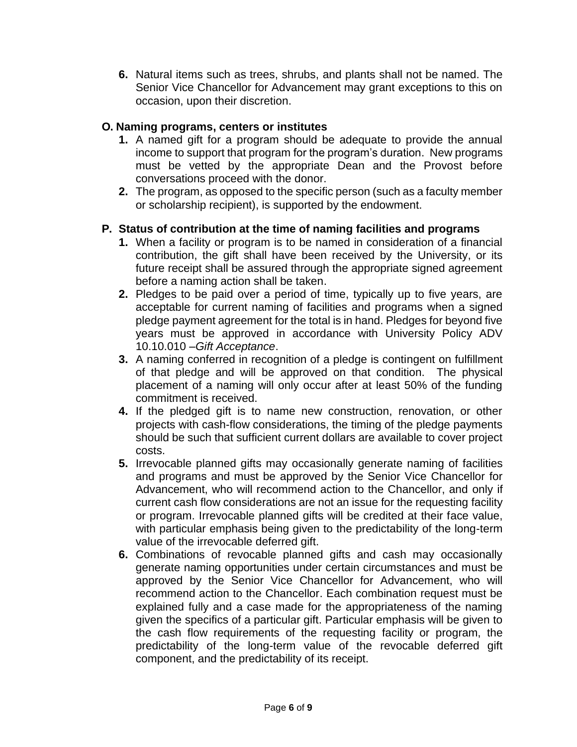**6.** Natural items such as trees, shrubs, and plants shall not be named. The Senior Vice Chancellor for Advancement may grant exceptions to this on occasion, upon their discretion.

## **O. Naming programs, centers or institutes**

- **1.** A named gift for a program should be adequate to provide the annual income to support that program for the program's duration. New programs must be vetted by the appropriate Dean and the Provost before conversations proceed with the donor.
- **2.** The program, as opposed to the specific person (such as a faculty member or scholarship recipient), is supported by the endowment.

# **P. Status of contribution at the time of naming facilities and programs**

- **1.** When a facility or program is to be named in consideration of a financial contribution, the gift shall have been received by the University, or its future receipt shall be assured through the appropriate signed agreement before a naming action shall be taken.
- **2.** Pledges to be paid over a period of time, typically up to five years, are acceptable for current naming of facilities and programs when a signed pledge payment agreement for the total is in hand. Pledges for beyond five years must be approved in accordance with University Policy ADV 10.10.010 –*Gift Acceptance*.
- **3.** A naming conferred in recognition of a pledge is contingent on fulfillment of that pledge and will be approved on that condition. The physical placement of a naming will only occur after at least 50% of the funding commitment is received.
- **4.** If the pledged gift is to name new construction, renovation, or other projects with cash-flow considerations, the timing of the pledge payments should be such that sufficient current dollars are available to cover project costs.
- **5.** Irrevocable planned gifts may occasionally generate naming of facilities and programs and must be approved by the Senior Vice Chancellor for Advancement, who will recommend action to the Chancellor, and only if current cash flow considerations are not an issue for the requesting facility or program. Irrevocable planned gifts will be credited at their face value, with particular emphasis being given to the predictability of the long-term value of the irrevocable deferred gift.
- **6.** Combinations of revocable planned gifts and cash may occasionally generate naming opportunities under certain circumstances and must be approved by the Senior Vice Chancellor for Advancement, who will recommend action to the Chancellor. Each combination request must be explained fully and a case made for the appropriateness of the naming given the specifics of a particular gift. Particular emphasis will be given to the cash flow requirements of the requesting facility or program, the predictability of the long-term value of the revocable deferred gift component, and the predictability of its receipt.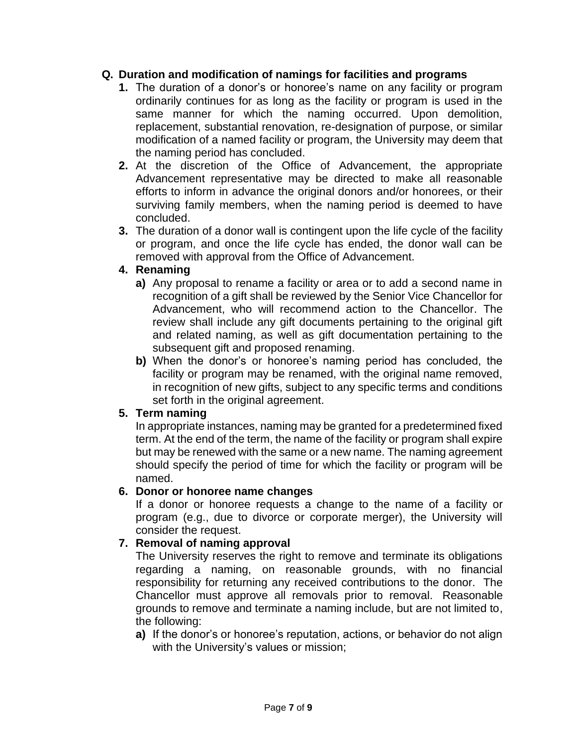## **Q. Duration and modification of namings for facilities and programs**

- **1.** The duration of a donor's or honoree's name on any facility or program ordinarily continues for as long as the facility or program is used in the same manner for which the naming occurred. Upon demolition, replacement, substantial renovation, re-designation of purpose, or similar modification of a named facility or program, the University may deem that the naming period has concluded.
- **2.** At the discretion of the Office of Advancement, the appropriate Advancement representative may be directed to make all reasonable efforts to inform in advance the original donors and/or honorees, or their surviving family members, when the naming period is deemed to have concluded.
- **3.** The duration of a donor wall is contingent upon the life cycle of the facility or program, and once the life cycle has ended, the donor wall can be removed with approval from the Office of Advancement.

## **4. Renaming**

- **a)** Any proposal to rename a facility or area or to add a second name in recognition of a gift shall be reviewed by the Senior Vice Chancellor for Advancement, who will recommend action to the Chancellor. The review shall include any gift documents pertaining to the original gift and related naming, as well as gift documentation pertaining to the subsequent gift and proposed renaming.
- **b)** When the donor's or honoree's naming period has concluded, the facility or program may be renamed, with the original name removed, in recognition of new gifts, subject to any specific terms and conditions set forth in the original agreement.

## **5. Term naming**

In appropriate instances, naming may be granted for a predetermined fixed term. At the end of the term, the name of the facility or program shall expire but may be renewed with the same or a new name. The naming agreement should specify the period of time for which the facility or program will be named.

## **6. Donor or honoree name changes**

If a donor or honoree requests a change to the name of a facility or program (e.g., due to divorce or corporate merger), the University will consider the request.

## **7. Removal of naming approval**

The University reserves the right to remove and terminate its obligations regarding a naming, on reasonable grounds, with no financial responsibility for returning any received contributions to the donor. The Chancellor must approve all removals prior to removal. Reasonable grounds to remove and terminate a naming include, but are not limited to, the following:

**a)** If the donor's or honoree's reputation, actions, or behavior do not align with the University's values or mission;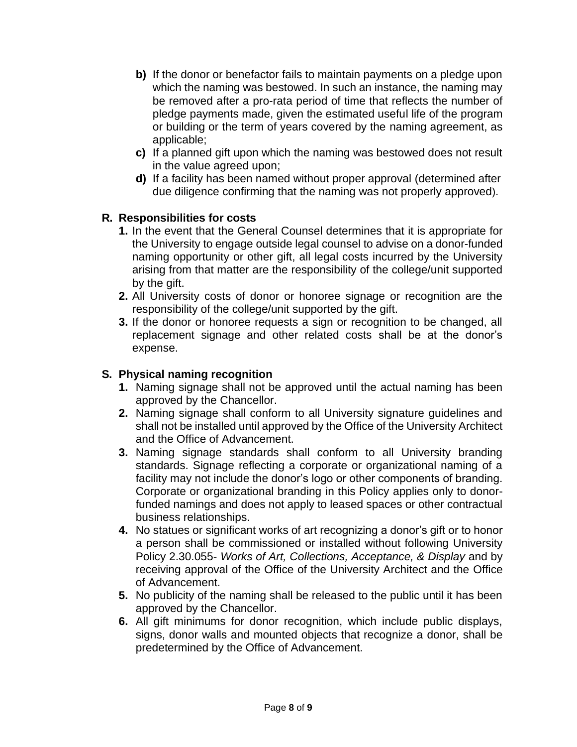- **b)** If the donor or benefactor fails to maintain payments on a pledge upon which the naming was bestowed. In such an instance, the naming may be removed after a pro-rata period of time that reflects the number of pledge payments made, given the estimated useful life of the program or building or the term of years covered by the naming agreement, as applicable;
- **c)** If a planned gift upon which the naming was bestowed does not result in the value agreed upon;
- **d)** If a facility has been named without proper approval (determined after due diligence confirming that the naming was not properly approved).

## **R. Responsibilities for costs**

- **1.** In the event that the General Counsel determines that it is appropriate for the University to engage outside legal counsel to advise on a donor-funded naming opportunity or other gift, all legal costs incurred by the University arising from that matter are the responsibility of the college/unit supported by the gift.
- **2.** All University costs of donor or honoree signage or recognition are the responsibility of the college/unit supported by the gift.
- **3.** If the donor or honoree requests a sign or recognition to be changed, all replacement signage and other related costs shall be at the donor's expense.

## **S. Physical naming recognition**

- **1.** Naming signage shall not be approved until the actual naming has been approved by the Chancellor.
- **2.** Naming signage shall conform to all University signature guidelines and shall not be installed until approved by the Office of the University Architect and the Office of Advancement.
- **3.** Naming signage standards shall conform to all University branding standards. Signage reflecting a corporate or organizational naming of a facility may not include the donor's logo or other components of branding. Corporate or organizational branding in this Policy applies only to donorfunded namings and does not apply to leased spaces or other contractual business relationships.
- **4.** No statues or significant works of art recognizing a donor's gift or to honor a person shall be commissioned or installed without following University Policy 2.30.055- *Works of Art, Collections, Acceptance, & Display* and by receiving approval of the Office of the University Architect and the Office of Advancement.
- **5.** No publicity of the naming shall be released to the public until it has been approved by the Chancellor.
- **6.** All gift minimums for donor recognition, which include public displays, signs, donor walls and mounted objects that recognize a donor, shall be predetermined by the Office of Advancement.